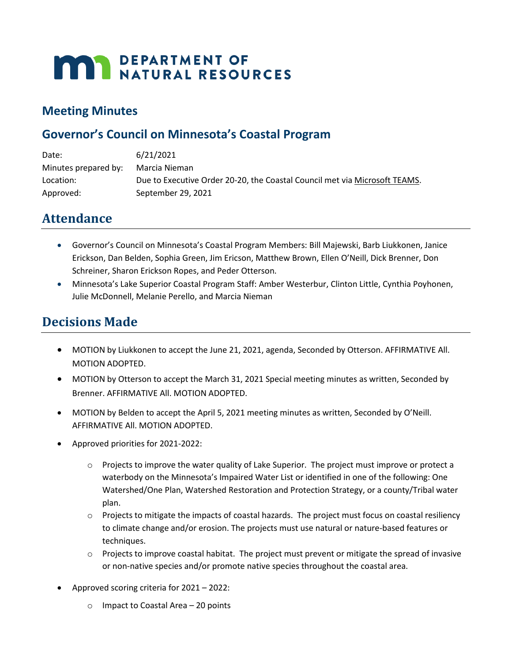# **MAY DEPARTMENT OF NATURAL RESOURCES**

## **Meeting Minutes**

## **Governor's Council on Minnesota's Coastal Program**

| Date:                | 6/21/2021                                                                  |
|----------------------|----------------------------------------------------------------------------|
| Minutes prepared by: | Marcia Nieman                                                              |
| Location:            | Due to Executive Order 20-20, the Coastal Council met via Microsoft TEAMS. |
| Approved:            | September 29, 2021                                                         |

# **Attendance**

- Governor's Council on Minnesota's Coastal Program Members: Bill Majewski, Barb Liukkonen, Janice Erickson, Dan Belden, Sophia Green, Jim Ericson, Matthew Brown, Ellen O'Neill, Dick Brenner, Don Schreiner, Sharon Erickson Ropes, and Peder Otterson.
- Minnesota's Lake Superior Coastal Program Staff: Amber Westerbur, Clinton Little, Cynthia Poyhonen, Julie McDonnell, Melanie Perello, and Marcia Nieman

# **Decisions Made**

- MOTION by Liukkonen to accept the June 21, 2021, agenda, Seconded by Otterson. AFFIRMATIVE All. MOTION ADOPTED.
- MOTION by Otterson to accept the March 31, 2021 Special meeting minutes as written, Seconded by Brenner. AFFIRMATIVE All. MOTION ADOPTED.
- MOTION by Belden to accept the April 5, 2021 meeting minutes as written, Seconded by O'Neill. AFFIRMATIVE All. MOTION ADOPTED.
- Approved priorities for 2021-2022:
	- $\circ$  Projects to improve the water quality of Lake Superior. The project must improve or protect a waterbody on the Minnesota's Impaired Water List or identified in one of the following: One Watershed/One Plan, Watershed Restoration and Protection Strategy, or a county/Tribal water plan.
	- $\circ$  Projects to mitigate the impacts of coastal hazards. The project must focus on coastal resiliency to climate change and/or erosion. The projects must use natural or nature-based features or techniques.
	- $\circ$  Projects to improve coastal habitat. The project must prevent or mitigate the spread of invasive or non-native species and/or promote native species throughout the coastal area.
- Approved scoring criteria for 2021 2022:
	- o Impact to Coastal Area 20 points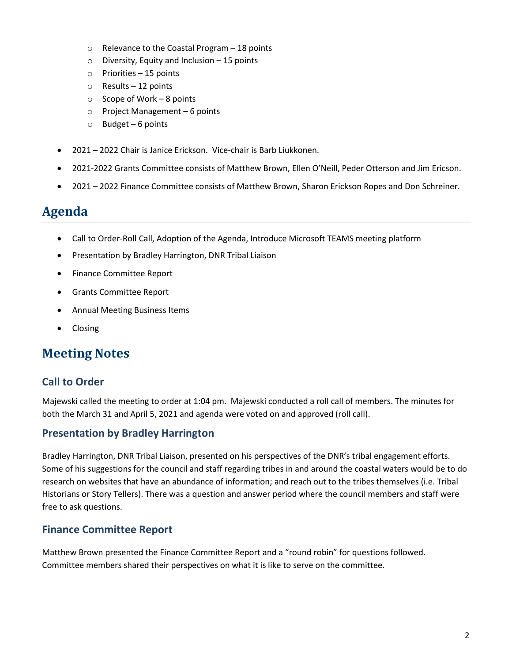- o Relevance to the Coastal Program 18 points
- $\circ$  Diversity, Equity and Inclusion 15 points
- o Priorities 15 points
- o Results 12 points
- $\circ$  Scope of Work 8 points
- o Project Management 6 points
- $\circ$  Budget 6 points
- 2021 2022 Chair is Janice Erickson. Vice-chair is Barb Liukkonen.
- 2021-2022 Grants Committee consists of Matthew Brown, Ellen O'Neill, Peder Otterson and Jim Ericson.
- 2021 2022 Finance Committee consists of Matthew Brown, Sharon Erickson Ropes and Don Schreiner.

## **Agenda**

- Call to Order-Roll Call, Adoption of the Agenda, Introduce Microsoft TEAMS meeting platform
- Presentation by Bradley Harrington, DNR Tribal Liaison
- Finance Committee Report
- Grants Committee Report
- Annual Meeting Business Items
- Closing

# **Meeting Notes**

## **Call to Order**

Majewski called the meeting to order at 1:04 pm. Majewski conducted a roll call of members. The minutes for both the March 31 and April 5, 2021 and agenda were voted on and approved (roll call).

## **Presentation by Bradley Harrington**

Bradley Harrington, DNR Tribal Liaison, presented on his perspectives of the DNR's tribal engagement efforts. Some of his suggestions for the council and staff regarding tribes in and around the coastal waters would be to do research on websites that have an abundance of information; and reach out to the tribes themselves (i.e. Tribal Historians or Story Tellers). There was a question and answer period where the council members and staff were free to ask questions.

## **Finance Committee Report**

Matthew Brown presented the Finance Committee Report and a "round robin" for questions followed. Committee members shared their perspectives on what it is like to serve on the committee.